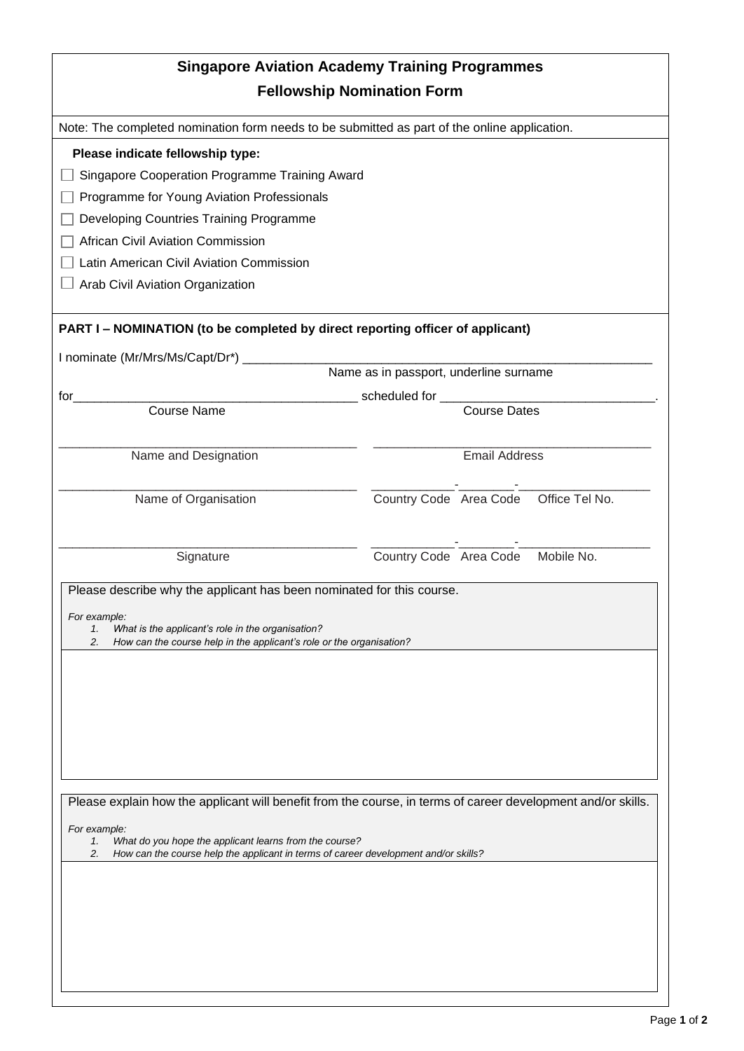| <b>Singapore Aviation Academy Training Programmes</b>                                                                                                     |                                        |  |
|-----------------------------------------------------------------------------------------------------------------------------------------------------------|----------------------------------------|--|
| <b>Fellowship Nomination Form</b>                                                                                                                         |                                        |  |
| Note: The completed nomination form needs to be submitted as part of the online application.                                                              |                                        |  |
| Please indicate fellowship type:                                                                                                                          |                                        |  |
| Singapore Cooperation Programme Training Award                                                                                                            |                                        |  |
| Programme for Young Aviation Professionals                                                                                                                |                                        |  |
| Developing Countries Training Programme                                                                                                                   |                                        |  |
| African Civil Aviation Commission                                                                                                                         |                                        |  |
| Latin American Civil Aviation Commission                                                                                                                  |                                        |  |
| Arab Civil Aviation Organization                                                                                                                          |                                        |  |
| PART I - NOMINATION (to be completed by direct reporting officer of applicant)                                                                            |                                        |  |
| I nominate (Mr/Mrs/Ms/Capt/Dr*)                                                                                                                           |                                        |  |
|                                                                                                                                                           | Name as in passport, underline surname |  |
| for                                                                                                                                                       | scheduled for ____________             |  |
| <b>Course Name</b>                                                                                                                                        | <b>Course Dates</b>                    |  |
|                                                                                                                                                           |                                        |  |
| Name and Designation                                                                                                                                      | <b>Email Address</b>                   |  |
|                                                                                                                                                           |                                        |  |
| Name of Organisation                                                                                                                                      | Country Code Area Code Office Tel No.  |  |
|                                                                                                                                                           |                                        |  |
| Signature                                                                                                                                                 | Country Code Area Code Mobile No.      |  |
|                                                                                                                                                           |                                        |  |
| Please describe why the applicant has been nominated for this course.                                                                                     |                                        |  |
| For example:                                                                                                                                              |                                        |  |
| What is the applicant's role in the organisation?<br>1.<br>How can the course help in the applicant's role or the organisation?<br>2.                     |                                        |  |
|                                                                                                                                                           |                                        |  |
|                                                                                                                                                           |                                        |  |
|                                                                                                                                                           |                                        |  |
|                                                                                                                                                           |                                        |  |
|                                                                                                                                                           |                                        |  |
|                                                                                                                                                           |                                        |  |
|                                                                                                                                                           |                                        |  |
| Please explain how the applicant will benefit from the course, in terms of career development and/or skills.                                              |                                        |  |
| For example:                                                                                                                                              |                                        |  |
| What do you hope the applicant learns from the course?<br>1.<br>How can the course help the applicant in terms of career development and/or skills?<br>2. |                                        |  |
|                                                                                                                                                           |                                        |  |
|                                                                                                                                                           |                                        |  |
|                                                                                                                                                           |                                        |  |
|                                                                                                                                                           |                                        |  |
|                                                                                                                                                           |                                        |  |
|                                                                                                                                                           |                                        |  |